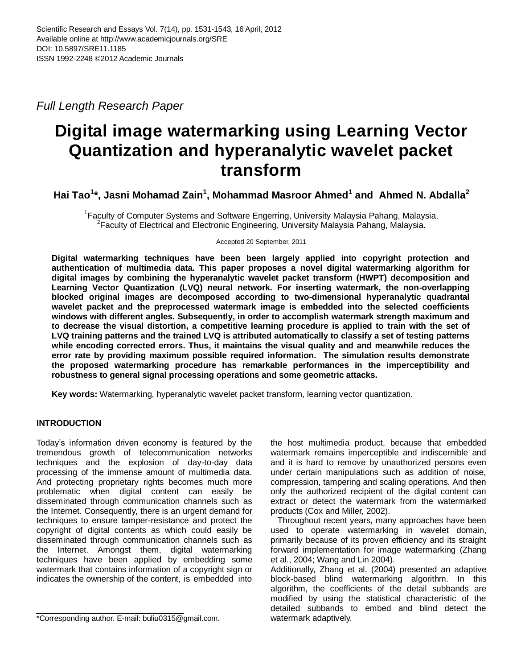*Full Length Research Paper*

# **Digital image watermarking using Learning Vector Quantization and hyperanalytic wavelet packet transform**

**Hai Tao<sup>1</sup> \*, Jasni Mohamad Zain<sup>1</sup> , Mohammad Masroor Ahmed<sup>1</sup> and Ahmed N. Abdalla<sup>2</sup>**

<sup>1</sup> Faculty of Computer Systems and Software Engerring, University Malaysia Pahang, Malaysia. <sup>2</sup> Faculty of Electrical and Electronic Engineering, University Malaysia Pahang, Malaysia.

Accepted 20 September, 2011

**Digital watermarking techniques have been been largely applied into copyright protection and authentication of multimedia data. This paper proposes a novel digital watermarking algorithm for digital images by combining the hyperanalytic wavelet packet transform (HWPT) decomposition and Learning Vector Quantization (LVQ) neural network. For inserting watermark, the non-overlapping blocked original images are decomposed according to two-dimensional hyperanalytic quadrantal wavelet packet and the preprocessed watermark image is embedded into the selected coefficients windows with different angles. Subsequently, in order to accomplish watermark strength maximum and to decrease the visual distortion, a competitive learning procedure is applied to train with the set of LVQ training patterns and the trained LVQ is attributed automatically to classify a set of testing patterns while encoding corrected errors. Thus, it maintains the visual quality and and meanwhile reduces the error rate by providing maximum possible required information. The simulation results demonstrate the proposed watermarking procedure has remarkable performances in the imperceptibility and robustness to general signal processing operations and some geometric attacks.**

**Key words:** Watermarking, hyperanalytic wavelet packet transform, learning vector quantization.

# **INTRODUCTION**

Today's information driven economy is featured by the tremendous growth of telecommunication networks techniques and the explosion of day-to-day data processing of the immense amount of multimedia data. And protecting proprietary rights becomes much more problematic when digital content can easily be disseminated through communication channels such as the Internet. Consequently, there is an urgent demand for techniques to ensure tamper-resistance and protect the copyright of digital contents as which could easily be disseminated through communication channels such as the Internet. Amongst them, digital watermarking techniques have been applied by embedding some watermark that contains information of a copyright sign or indicates the ownership of the content, is embedded into

the host multimedia product, because that embedded watermark remains imperceptible and indiscernible and and it is hard to remove by unauthorized persons even under certain manipulations such as addition of noise, compression, tampering and scaling operations. And then only the authorized recipient of the digital content can extract or detect the watermark from the watermarked products (Cox and Miller, 2002).

 Throughout recent years, many approaches have been used to operate watermarking in wavelet domain, primarily because of its proven efficiency and its straight forward implementation for image watermarking (Zhang et al., 2004; Wang and Lin 2004).

Additionally, Zhang et al. (2004) presented an adaptive block-based blind watermarking algorithm. In this algorithm, the coefficients of the detail subbands are modified by using the statistical characteristic of the detailed subbands to embed and blind detect the watermark adaptively.

<sup>\*</sup>Corresponding author. E-mail: buliu0315@gmail.com.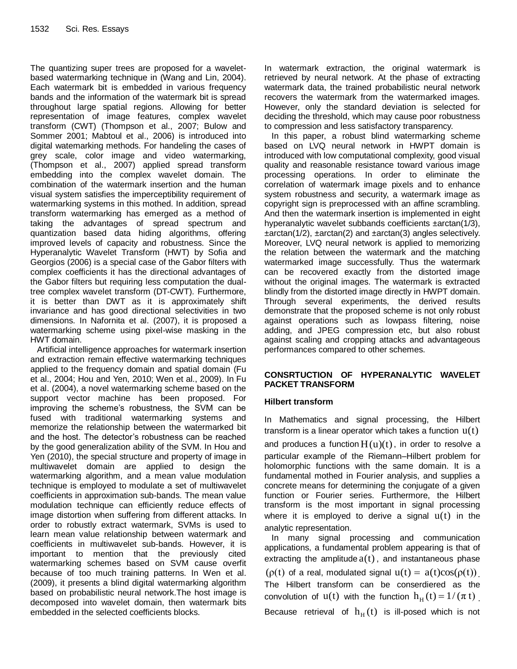The quantizing super trees are proposed for a waveletbased watermarking technique in (Wang and Lin, 2004). Each watermark bit is embedded in various frequency bands and the information of the watermark bit is spread throughout large spatial regions. Allowing for better representation of image features, complex wavelet transform (CWT) (Thompson et al., 2007; Bulow and Sommer 2001; Mabtoul et al., 2006) is introduced into digital watemarking methods. For handeling the cases of grey scale, color image and video watermarking, (Thompson et al., 2007) applied spread transform embedding into the complex wavelet domain. The combination of the watermark insertion and the human visual system satisfies the imperceptibility requirement of watermarking systems in this mothed. In addition, spread transform watermarking has emerged as a method of taking the advantages of spread spectrum and quantization based data hiding algorithms, offering improved levels of capacity and robustness. Since the Hyperanalytic Wavelet Transform (HWT) by Sofia and Georgios (2006) is a special case of the Gabor filters with complex coefficients it has the directional advantages of the Gabor filters but requiring less computation the dualtree complex wavelet transform (DT-CWT). Furthermore, it is better than DWT as it is approximately shift invariance and has good directional selectivities in two dimensions. In Nafornita et al. (2007), it is proposed a watermarking scheme using pixel-wise masking in the HWT domain.

 Artificial intelligence approaches for watermark insertion and extraction remain effective watermarking techniques applied to the frequency domain and spatial domain (Fu et al., 2004; Hou and Yen, 2010; Wen et al., 2009). In Fu et al. (2004), a novel watermarking scheme based on the support vector machine has been proposed. For improving the scheme's robustness, the SVM can be fused with traditional watermarking systems and memorize the relationship between the watermarked bit and the host. The detector's robustness can be reached by the good generalization ability of the SVM. In Hou and Yen (2010), the special structure and property of image in multiwavelet domain are applied to design the watermarking algorithm, and a mean value modulation technique is employed to modulate a set of multiwavelet coefficients in approximation sub-bands. The mean value modulation technique can efficiently reduce effects of image distortion when suffering from different attacks. In order to robustly extract watermark, SVMs is used to learn mean value relationship between watermark and coefficients in multiwavelet sub-bands. However, it is important to mention that the previously cited watermarking schemes based on SVM cause overfit because of too much training patterns. In Wen et al. (2009), it presents a blind digital watermarking algorithm based on probabilistic neural network.The host image is decomposed into wavelet domain, then watermark bits embedded in the selected coefficients blocks.

In watermark extraction, the original watermark is retrieved by neural network. At the phase of extracting watermark data, the trained probabilistic neural network recovers the watermark from the watermarked images. However, only the standard deviation is selected for deciding the threshold, which may cause poor robustness to compression and less satisfactory transparency.

 In this paper, a robust blind watermarking scheme based on LVQ neural network in HWPT domain is introduced with low computational complexity, good visual quality and reasonable resistance toward various image processing operations. In order to eliminate the correlation of watermark image pixels and to enhance system robustness and security, a watermark image as copyright sign is preprocessed with an affine scrambling. And then the watermark insertion is implemented in eight hyperanalytic wavelet subbands coefficients ±arctan(1/3), ±arctan(1/2), ±arctan(2) and ±arctan(3) angles selectively. Moreover, LVQ neural network is applied to memorizing the relation between the watermark and the matching watermarked image successfully. Thus the watermark can be recovered exactly from the distorted image without the original images. The watermark is extracted blindly from the distorted image directly in HWPT domain. Through several experiments, the derived results demonstrate that the proposed scheme is not only robust against operations such as lowpass filtering, noise adding, and JPEG compression etc, but also robust against scaling and cropping attacks and advantageous performances compared to other schemes.

# **CONSRTUCTION OF HYPERANALYTIC WAVELET PACKET TRANSFORM**

# **Hilbert transform**

In Mathematics and signal processing, the Hilbert transform is a linear operator which takes a function  $u(t)$ and produces a function  $H(u)(t)$ , in order to resolve a particular example of the Riemann–Hilbert problem for holomorphic functions with the same domain. It is a fundamental mothed in Fourier analysis, and supplies a concrete means for determining the conjugate of a given function or Fourier series. Furthermore, the Hilbert transform is the most important in signal processing where it is employed to derive a signal  $u(t)$  in the analytic representation.

 In many signal processing and communication applications, a fundamental problem appearing is that of extracting the amplitude  $a(t)$ , and instantaneous phase ( $\rho(t)$  of a real, modulated signal  $u(t) = a(t)\cos(\rho(t))$ . The Hilbert transform can be conserdiered as the convolution of  $u(t)$  with the function  $h_H(t) = 1/(\pi t)$ . Because retrieval of  $h_H(t)$  is ill-posed which is not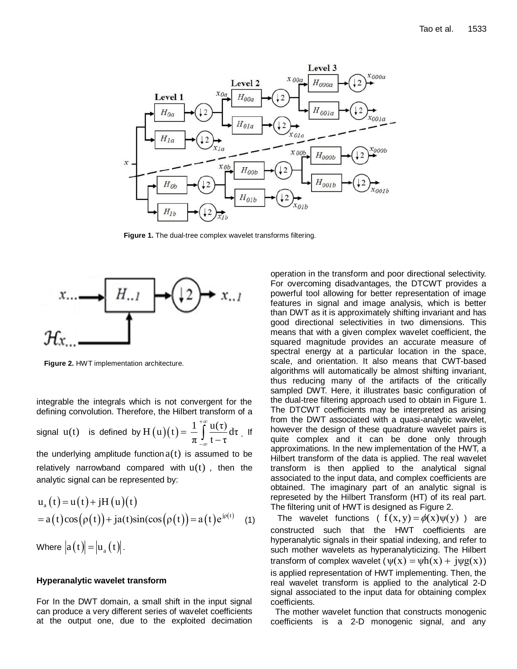

**Figure 1.** The dual-tree complex wavelet transforms filtering.



**Figure 2.** HWT implementation architecture.

integrable the integrals which is not convergent for the defining convolution. Therefore, the Hilbert transform of a

signal  $u(t)$  is defined by  $H(u)(t) = \frac{1}{t} \int_{t}^{+\infty} \frac{u(\tau)}{t} d\tau$  $\pi \int_{-\infty}^{+\infty} d\tau$  $+\infty$ œ - $=$  $H(u)(t) = \frac{1}{\pi} \int_{-\infty}^{u(t)} d\tau$ . If

the underlying amplitude function  $a(t)$  is assumed to be relatively narrowband compared with  $u(t)$ , then the analytic signal can be represented by:

$$
u_a(t) = u(t) + jH(u)(t)
$$
  
= a(t)cos(ρ(t)) + ja(t)sin(cos(ρ(t)) = a(t)e<sup>jρ(t)</sup> (1)

Where  $|a(t)| = |u_a(t)|$ .

#### **Hyperanalytic wavelet transform**

For In the DWT domain, a small shift in the input signal can produce a very different series of wavelet coefficients at the output one, due to the exploited decimation operation in the transform and poor directional selectivity. For overcoming disadvantages, the DTCWT provides a powerful tool allowing for better representation of image features in signal and image analysis, which is better than DWT as it is approximately shifting invariant and has good directional selectivities in two dimensions. This means that with a given complex wavelet coefficient, the squared magnitude provides an accurate measure of spectral energy at a particular location in the space, scale, and orientation. It also means that CWT-based algorithms will automatically be almost shifting invariant, thus reducing many of the artifacts of the critically sampled DWT. Here, it illustrates basic configuration of the dual-tree filtering approach used to obtain in Figure 1. The DTCWT coefficients may be interpreted as arising from the DWT associated with a quasi-analytic wavelet, however the design of these quadrature wavelet pairs is quite complex and it can be done only through approximations. In the new implementation of the HWT, a Hilbert transform of the data is applied. The real wavelet transform is then applied to the analytical signal associated to the input data, and complex coefficients are obtained. The imaginary part of an analytic signal is represeted by the Hilbert Transform (HT) of its real part. The filtering unit of HWT is designed as Figure 2.

The wavelet functions (  $f(x, y) = \phi(x)\psi(y)$  ) are constructed such that the HWT coefficients are hyperanalytic signals in their spatial indexing, and refer to such mother wavelets as hyperanalyticizing. The Hilbert such momer wavelets as hyperanalyticizing. The mibert<br>transform of complex wavelet  $(\psi(x) = \psi h(x) + j \psi g(x))$ is applied representation of HWT implementing. Then, the real wavelet transform is applied to the analytical 2-D signal associated to the input data for obtaining complex coefficients.

 The mother wavelet function that constructs monogenic coefficients is a 2-D monogenic signal, and any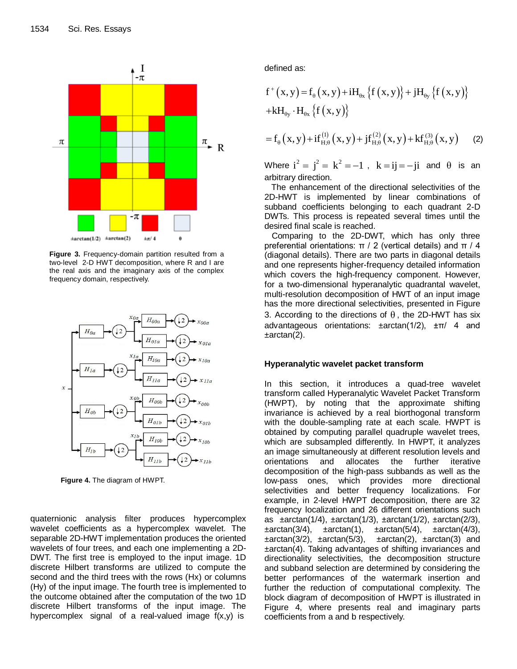

**Figure 3.** Frequency-domain partition resulted from a two-level 2-D HWT decomposition, where R and I are the real axis and the imaginary axis of the complex frequency domain, respectively.



**Figure 4.** The diagram of HWPT.

quaternionic analysis filter produces hypercomplex wavelet coefficients as a hypercomplex wavelet. The separable 2D-HWT implementation produces the oriented wavelets of four trees, and each one implementing a 2D-DWT. The first tree is employed to the input image. 1D discrete Hilbert transforms are utilized to compute the second and the third trees with the rows (Hx) or columns (Hy) of the input image. The fourth tree is implemented to the outcome obtained after the computation of the two 1D discrete Hilbert transforms of the input image. The hypercomplex signal of a real-valued image f(x,y) is

defined as:

defined as:  
\n
$$
f^{+}(x,y)=f_{\theta}(x,y)+iH_{\theta x}\left\{f(x,y)\right\}+jH_{\theta y}\left\{f(x,y)\right\}
$$
\n
$$
+kH_{\theta y}\cdot H_{\theta x}\left\{f(x,y)\right\}
$$

$$
=f_{\theta}\left(x,y\right)+if_{H,\theta}^{(1)}\left(x,y\right)+jf_{H,\theta}^{(2)}\left(x,y\right)+kf_{H,\theta}^{(3)}\left(x,y\right)
$$
 (2)

Where  $i^2 = j^2 = k^2 = -1$ ,  $k = ij = -ji$  and  $\theta$  is an arbitrary direction.

 The enhancement of the directional selectivities of the 2D-HWT is implemented by linear combinations of subband coefficients belonging to each quadrant 2-D DWTs. This process is repeated several times until the desired final scale is reached.

 Comparing to the 2D-DWT, which has only three preferential orientations: π / 2 (vertical details) and π / 4 (diagonal details). There are two parts in diagonal details and one represents higher-frequency detailed information which covers the high-frequency component. However, for a two-dimensional hyperanalytic quadrantal wavelet, multi-resolution decomposition of HWT of an input image has the more directional selectivities, presented in Figure 3. According to the directions of  $\theta$ , the 2D-HWT has six advantageous orientations: ±arctan(1/2), ±π/ 4 and ±arctan(2).

### **Hyperanalytic wavelet packet transform**

In this section, it introduces a quad-tree wavelet transform called Hyperanalytic Wavelet Packet Transform (HWPT), by noting that the approximate shifting invariance is achieved by a real biorthogonal transform with the double-sampling rate at each scale. HWPT is obtained by computing parallel quadruple wavelet trees, which are subsampled differently. In HWPT, it analyzes an image simultaneously at different resolution levels and orientations and allocates the further iterative decomposition of the high-pass subbands as well as the low-pass ones, which provides more directional selectivities and better frequency localizations. For example, in 2-level HWPT decomposition, there are 32 frequency localization and 26 different orientations such as  $\pm \arctan(1/4)$ ,  $\pm \arctan(1/3)$ ,  $\pm \arctan(1/2)$ ,  $\pm \arctan(2/3)$ ,  $\pm \arctan(3/4)$ ,  $\pm \arctan(1)$ ,  $\pm \arctan(5/4)$ ,  $\pm \arctan(4/3)$ ,  $\pm \arctan(3/2)$ ,  $\pm \arctan(5/3)$ ,  $\pm \arctan(2)$ ,  $\pm \arctan(3)$  and ±arctan(4). Taking advantages of shifting invariances and directionality selectivities, the decomposition structure and subband selection are determined by considering the better performances of the watermark insertion and further the reduction of computational complexity. The block diagram of decomposition of HWPT is illustrated in Figure 4, where presents real and imaginary parts coefficients from a and b respectively.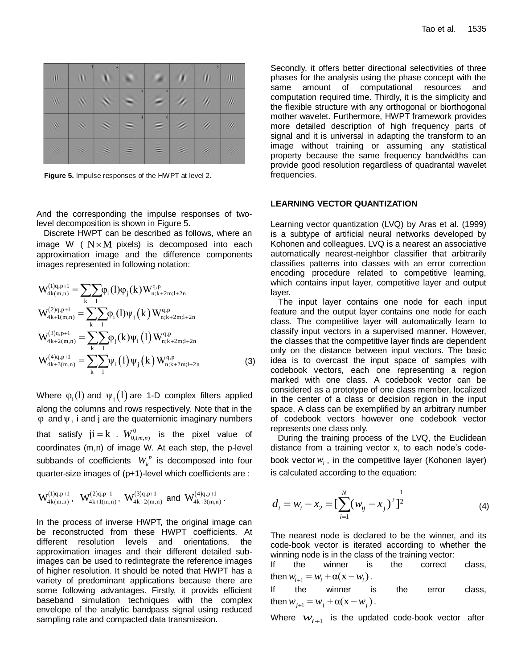| Ш | ١ | s |   | - | 8      | Ш  |
|---|---|---|---|---|--------|----|
| ٧ |   | 3 | s |   |        | W  |
| W |   | ÷ | 6 |   | W      | W) |
| × | 8 |   |   |   | s<br>Z | H. |

**Figure 5.** Impulse responses of the HWPT at level 2.

And the corresponding the impulse responses of twolevel decomposition is shown in Figure 5.

 Discrete HWPT can be described as follows, where an image W ( $N \times M$  pixels) is decomposed into each approximation image and the difference components images represented in following notation:

$$
W_{4k(m,n)}^{(1)q,p+1} = \sum_{k} \sum_{l} \varphi_{i}(l) \varphi_{j}(k) W_{n;k+2m;l+2n}^{q,p}
$$
  
\n
$$
W_{4k+l(m,n)}^{(2)q,p+1} = \sum_{k} \sum_{l} \varphi_{i}(l) \psi_{j}(k) W_{n;k+2m;l+2n}^{q,p}
$$
  
\n
$$
W_{4k+2(m,n)}^{(3)q,p+1} = \sum_{k} \sum_{l} \varphi_{j}(k) \psi_{i}(l) W_{n;k+2m;l+2n}^{q,p}
$$
  
\n
$$
W_{4k+3(m,n)}^{(4)q,p+1} = \sum_{k} \sum_{l} \psi_{i}(l) \psi_{j}(k) W_{n;k+2m;l+2n}^{q,p}
$$
  
\n(3)

Where  $\varphi_i(l)$  and  $\psi_j(l)$  are 1-D complex filters applied along the columns and rows respectively. Note that in the φ and ψ, i and j are the quaternionic imaginary numbers that satisfy  $ji = k$  .  $W_{0, (m,n)}^0$  is the pixel value of coordinates (m,n) of image W. At each step, the p-level subbands of coefficients  $W_k^p$  is decomposed into four quarter-size images of (p+1)-level which coefficients are :

$$
W^{(l)q,p+1}_{4k(m,n)}, \ \ W^{(2)q,p+1}_{4k+l(m,n)}, \ W^{(3)q,p+1}_{4k+2(m,n)} \text{ and } W^{(4)q,p+1}_{4k+3(m,n)}\,.
$$

In the process of inverse HWPT, the original image can be reconstructed from these HWPT coefficients. At different resolution levels and orientations, the approximation images and their different detailed subimages can be used to redintegrate the reference images of higher resolution. It should be noted that HWPT has a variety of predominant applications because there are some following advantages. Firstly, it provids efficient baseband simulation techniques with the complex envelope of the analytic bandpass signal using reduced sampling rate and compacted data transmission.

Secondly, it offers better directional selectivities of three phases for the analysis using the phase concept with the same amount of computational resources and computation required time. Thirdly, it is the simplicity and the flexible structure with any orthogonal or biorthogonal mother wavelet. Furthermore, HWPT framework provides more detailed description of high frequency parts of signal and it is universal in adapting the transform to an image without training or assuming any statistical property because the same frequency bandwidths can provide good resolution regardless of quadrantal wavelet frequencies.

#### **LEARNING VECTOR QUANTIZATION**

Learning vector quantization (LVQ) by Aras et al. (1999) is a subtype of artificial neural networks developed by Kohonen and colleagues. LVQ is a nearest an associative automatically nearest-neighbor classifier that arbitrarily classifies patterns into classes with an error correction encoding procedure related to competitive learning, which contains input layer, competitive layer and output layer.

The input layer contains one node for each input feature and the output layer contains one node for each class. The competitive layer will automatically learn to classify input vectors in a supervised manner. However, the classes that the competitive layer finds are dependent only on the distance between input vectors. The basic idea is to overcast the input space of samples with codebook vectors, each one representing a region marked with one class. A codebook vector can be considered as a prototype of one class member, localized in the center of a class or decision region in the input space. A class can be exemplified by an arbitrary number of codebook vectors however one codebook vector represents one class only.

 During the training process of the LVQ, the Euclidean distance from a training vector x, to each node's codebook vector *wi* , in the competitive layer (Kohonen layer) is calculated according to the equation:

$$
d_i = w_i - x_2 = \left[\sum_{i=1}^{N} (w_{ij} - x_j)^2\right]^{\frac{1}{2}}
$$
 (4)

The nearest node is declared to be the winner, and its code-book vector is iterated according to whether the winning node is in the class of the training vector:

If the winner is the correct class, then  $w_{i+1} = w_i + \alpha(x - w_i)$ .

If the winner is the error class, then  $w_{j+1} = w_j + \alpha(x - w_j)$ .

Where  $w_{i+1}$  is the updated code-book vector after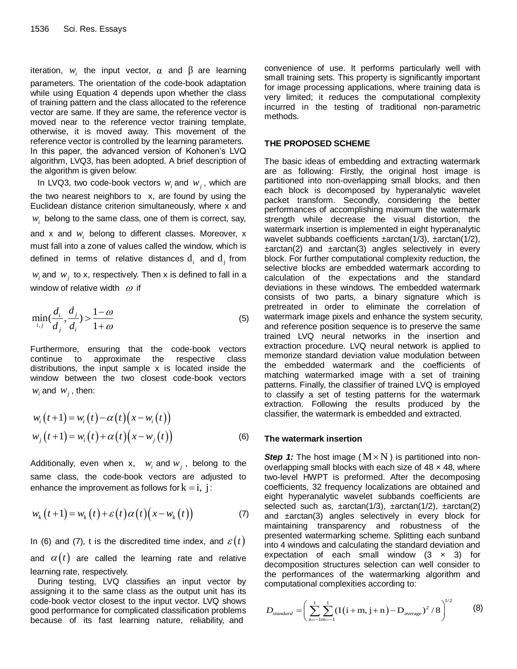iteration,  $w_i$  the input vector,  $\alpha$  and  $\beta$  are learning parameters. The orientation of the code-book adaptation while using Equation 4 depends upon whether the class of training pattern and the class allocated to the reference vector are same. If they are same, the reference vector is moved near to the reference vector training template, otherwise, it is moved away. This movement of the reference vector is controlled by the learning parameters. In this paper, the advanced version of Kohonen's LVQ algorithm, LVQ3, has been adopted. A brief description of the algorithm is given below:

In LVQ3, two code-book vectors  $w_i$  and  $w_j$ , which are the two nearest neighbors to x, are found by using the Euclidean distance criterion simultaneously, where x and  $w<sub>i</sub>$  belong to the same class, one of them is correct, say, and x and *wi* belong to different classes. Moreover, x must fall into a zone of values called the window, which is defined in terms of relative distances  $\mathbf{d}_i$  and  $\mathbf{d}_j$  from  $w_i$  and  $w_j$  to x, respectively. Then x is defined to fall in a window of relative width  $\omega$  if

$$
\min_{i,j} \left(\frac{d_i}{d_j}, \frac{d_j}{d_i}\right) > \frac{1-\omega}{1+\omega} \tag{5}
$$

Furthermore, ensuring that the code-book vectors continue to approximate the respective class distributions, the input sample x is located inside the window between the two closest code-book vectors  $w_i$  and  $w_j$ , then:

$$
w_i(t+1) = w_i(t) - \alpha(t)(x - w_i(t))
$$
  
\n
$$
w_j(t+1) = w_i(t) + \alpha(t)(x - w_j(t))
$$
\n(6)

Additionally, even when x,  $w_i$  and  $w_j$ , belong to the same class, the code-book vectors are adjusted to enhance the improvement as follows for  $k = i, j$ :

$$
w_k(t+1) = w_k(t) + \varepsilon(t)\alpha(t)(x - w_k(t))
$$
\n(7)

In (6) and (7), t is the discredited time index, and  $\varepsilon(t)$ and  $\alpha(t)$  are called the learning rate and relative learning rate, respectively.

 During testing, LVQ classifies an input vector by assigning it to the same class as the output unit has its code-book vector closest to the input vector. LVQ shows good performance for complicated classification problems because of its fast learning nature, reliability, and

convenience of use. It performs particularly well with small training sets. This property is significantly important for image processing applications, where training data is very limited; it reduces the computational complexity incurred in the testing of traditional non-parametric methods.

## **THE PROPOSED SCHEME**

The basic ideas of embedding and extracting watermark are as following: Firstly, the original host image is partitioned into non-overlapping small blocks, and then each block is decomposed by hyperanalytic wavelet packet transform. Secondly, considering the better performances of accomplishing maximum the watermark strength while decrease the visual distortion, the watermark insertion is implemented in eight hyperanalytic wavelet subbands coefficients ±arctan(1/3), ±arctan(1/2),  $\pm \arctan(2)$  and  $\pm \arctan(3)$  angles selectively in every block. For further computational complexity reduction, the selective blocks are embedded watermark according to calculation of the expectations and the standard deviations in these windows. The embedded watermark consists of two parts, a binary signature which is pretreated in order to eliminate the correlation of watermark image pixels and enhance the system security, and reference position sequence is to preserve the same trained LVQ neural networks in the insertion and extraction procedure. LVQ neural network is applied to memorize standard deviation value modulation between the embedded watermark and the coefficients of matching watermarked image with a set of training patterns. Finally, the classifier of trained LVQ is employed to classify a set of testing patterns for the watermark extraction. Following the results produced by the classifier, the watermark is embedded and extracted.

#### **The watermark insertion**

**Step 1:** The host image  $(M \times N)$  is partitioned into nonoverlapping small blocks with each size of  $48 \times 48$ , where two-level HWPT is preformed. After the decomposing coefficients, 32 frequency localizations are obtained and eight hyperanalytic wavelet subbands coefficients are selected such as,  $\pm \arctan(1/3)$ ,  $\pm \arctan(1/2)$ ,  $\pm \arctan(2)$ and ±arctan(3) angles selectively in every block for maintaining transparency and robustness of the presented watermarking scheme. Splitting each sunband into 4 windows and calculating the standard deviation and expectation of each small window  $(3 \times 3)$  for decomposition structures selection can well consider to the performances of the watermarking algorithm and

computational complexities according to:  

$$
D_{standard} = \left(\sum_{n=-1}^{1} \sum_{m=-1}^{1} (I(i+m, j+n) - D_{average})^2 / 8\right)^{1/2}
$$
(8)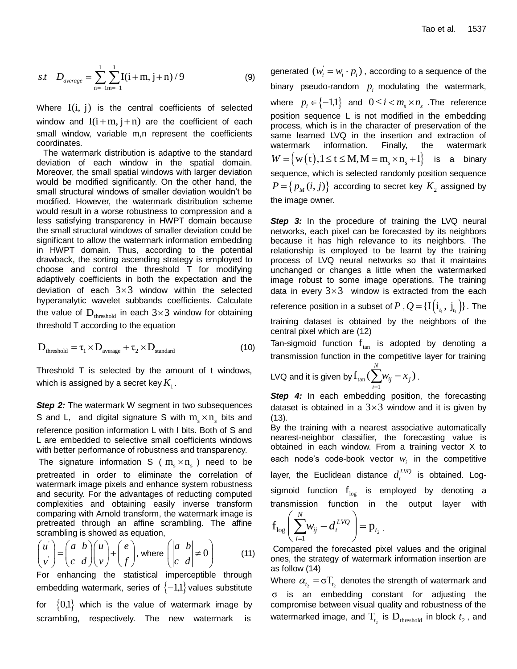s.t 
$$
D_{average} = \sum_{n=-1}^{1} \sum_{m=-1}^{1} I(i+m, j+n) / 9
$$
 (9)

Where  $I(i, j)$  is the central coefficients of selected window and  $I(i+m, j+n)$  are the coefficient of each small window, variable m,n represent the coefficients coordinates.

 The watermark distribution is adaptive to the standard deviation of each window in the spatial domain. Moreover, the small spatial windows with larger deviation would be modified significantly. On the other hand, the small structural windows of smaller deviation wouldn't be modified. However, the watermark distribution scheme would result in a worse robustness to compression and a less satisfying transparency in HWPT domain because the small structural windows of smaller deviation could be significant to allow the watermark information embedding in HWPT domain. Thus, according to the potential drawback, the sorting ascending strategy is employed to choose and control the threshold T for modifying adaptively coefficients in both the expectation and the deviation of each  $3\times3$  window within the selected hyperanalytic wavelet subbands coefficients. Calculate the value of  $D_{\text{threshold}}$  in each  $3\times3$  window for obtaining threshold T according to the equation

$$
D_{\text{threshold}} = \tau_1 \times D_{\text{average}} + \tau_2 \times D_{\text{standard}}
$$
 (10)

Threshold T is selected by the amount of t windows, which is assigned by a secret key  $K_{\rm i}$  .

*Step 2:* The watermark W segment in two subsequences S and L, and digital signature S with  $m_s \times n_s$  bits and reference position information L with l bits. Both of S and L are embedded to selective small coefficients windows with better performance of robustness and transparency.

The signature information S ( $m_s \times n_s$ ) need to be pretreated in order to eliminate the correlation of watermark image pixels and enhance system robustness and security. For the advantages of reducting computed complexities and obtaining easily inverse transform comparing with Arnold transform, the watermark image is pretreated through an affine scrambling. The affine

scrambling is showed as equation,  
\n
$$
\begin{pmatrix} u \\ v \end{pmatrix} = \begin{pmatrix} a & b \\ c & d \end{pmatrix} \begin{pmatrix} u \\ v \end{pmatrix} + \begin{pmatrix} e \\ f \end{pmatrix}, \text{ where } \begin{pmatrix} a & b \\ c & d \end{pmatrix} \neq 0 \tag{11}
$$

For enhancing the statistical imperceptible through embedding watermark, series of  $\{-1,1\}$  values substitute for  $\{0,1\}$  which is the value of watermark image by scrambling, respectively. The new watermark is

generated  $(w_i = w_i \cdot p_i)$ , according to a sequence of the binary pseudo-random  $p_i$  modulating the watermark, where  $p_i \in \{-1,1\}$  and  $0 \le i < m_s \times n_s$  . The reference position sequence L is not modified in the embedding process, which is in the character of preservation of the same learned LVQ in the insertion and extraction of watermark information. Finally, the watermark watermark information. Finally, the watermark<br>  $W = \left\{ w(t), 1 \le t \le M, M = m_s \times n_s + 1 \right\}$  is a binary sequence, which is selected randomly position sequence  $P$  =  $\left\{ p_{\scriptscriptstyle M}(i,j) \right\}$  according to secret key  $K_{\scriptscriptstyle 2}$  assigned by the image owner.

**Step 3:** In the procedure of training the LVQ neural networks, each pixel can be forecasted by its neighbors because it has high relevance to its neighbors. The relationship is employed to be learnt by the training process of LVQ neural networks so that it maintains unchanged or changes a little when the watermarked image robust to some image operations. The training data in every  $3\times 3$  window is extracted from the each reference position in a subset of  $P$  ,  $Q$  = { $\text{I}\left(\text{i}_{_{I_{_{1}}}}, \ \text{j}_{_{I_{_{1}}}}\right)$ } . The

training dataset is obtained by the neighbors of the central pixel which are (12)

Tan-sigmoid function  $f_{tan}$  is adopted by denoting a transmission function in the competitive layer for training

LVQ and it is given by 
$$
f_{\text{tan}}(\sum_{i=1}^{N}w_{ij}-x_j)
$$
.

*Step 4:* In each embedding position, the forecasting dataset is obtained in a  $3\times3$  window and it is given by (13).

By the training with a nearest associative automatically nearest-neighbor classifier, the forecasting value is obtained in each window. From a training vector X to each node's code-book vector *wi* in the competitive layer, the Euclidean distance  $d_i^{LVQ}$  is obtained. Logsigmoid function  $f_{log}$  is employed by denoting a transmission function in the output layer with

$$
f_{\text{log}}\left(\sum_{i=1}^{N}w_{ij}-d_{t}^{LVQ}\right)=p_{t_{2}}.
$$

Compared the forecasted pixel values and the original ones, the strategy of watermark information insertion are as follow (14)

Where  $\alpha_{t_2} = \sigma T_{t_2}$  denotes the strength of watermark and σ is an embedding constant for adjusting the compromise between visual quality and robustness of the watermarked image, and  $T_{t_2}$  is  $D_{\text{threshold}}$  in block  $t_2$ , and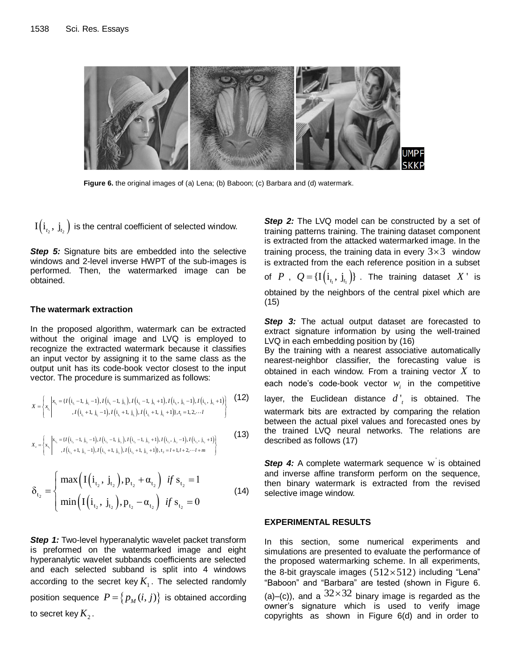

**Figure 6.** the original images of (a) Lena; (b) Baboon; (c) Barbara and (d) watermark.

 $I(i_{t_2}, j_{t_2})$  is the central coefficient of selected window.

**Step 5:** Signature bits are embedded into the selective windows and 2-level inverse HWPT of the sub-images is performed. Then, the watermarked image can be obtained.

#### **The watermark extraction**

In the proposed algorithm, watermark can be extracted without the original image and LVQ is employed to recognize the extracted watermark because it classifies an input vector by assigning it to the same class as the output unit has its code-book vector closest to the input

vector. The procedure is summarized as follows:  
\n
$$
x = \begin{cases}\nx_{i_1} = \{I(i_{i_1} - 1, j_{i_1} - 1), I(i_{i_1} - 1, j_{i_1}), I(i_{i_1} - 1, j_{i_1} + 1), I(i_{i_1}, j_{i_1} - 1), I(i_{i_1}, j_{i_1} + 1)\}, \\
I(i_{i_1} + 1, j_{i_1} - 1), I(i_{i_1} + 1, j_{i_1}), I(i_{i_1} + 1, j_{i_1} + 1)\}, \\
I(i_1 + 1, j_{i_1} - 1), I(i_{i_1} + 1, j_{i_1}), I(i_{i_1} + 1, j_{i_1} + 1)\}, \\
I(i_1 + 1, j_{i_1} - 1), I(i_1 + 1, j_{i_1} + 1), \\
I(i_1 + 1, j_{i_1} + 1), I(i_1 + 1, j_{i_1} + 1)\}\n\end{cases}
$$
\n(12)

$$
x_c = \begin{cases} x_{t_1} \left[ x_{t_1} = \{ I(i_{t_2} - 1, j_{t_2} - 1), I(i_{t_2} - 1, j_{t_2}), I(i_{t_2} - 1, j_{t_2} + 1), I(i_{t_2}, j_{t_2} - 1), I(i_{t_2}, j_{t_2} + 1) \right] & (13) \\ t & \text{if } i = \{ I(i_{t_2} - 1, j_{t_2} - 1), I(i_{t_2} - 1, j_{t_2}), I(i_{t_2} + 1, j_{t_2} + 1), I(i_{t_2} + 1, j_{t_2} + 1), I(i_{t_2} + 1, j_{t_2} + 1), I(i_{t_2} + 1, j_{t_2} + 1), I(i_{t_2} + 1, j_{t_2} + 1), I(i_{t_2} + 1, j_{t_2} + 1), I(i_{t_2} + 1, j_{t_2} + 1), I(i_{t_2} + 1, j_{t_2} + 1), I(i_{t_2} + 1, j_{t_2} + 1), I(i_{t_2} + 1, j_{t_2} + 1), I(i_{t_2} + 1, j_{t_2} + 1), I(i_{t_2} + 1, j_{t_2} + 1), I(i_{t_2} + 1, j_{t_2} + 1), I(i_{t_2} + 1, j_{t_2} + 1), I(i_{t_2} + 1, j_{t_2} + 1), I(i_{t_2} + 1, j_{t_2} + 1), I(i_{t_2} + 1, j_{t_2} + 1), I(i_{t_2} + 1, j_{t_2} + 1), I(i_{t_2} + 1, j_{t_2} + 1), I(i_{t_2} + 1, j_{t_2} + 1), I(i_{t_2} + 1, j_{t_2} + 1), I(i_{t_2} + 1, j_{t_2} + 1), I(i_{t_2} + 1, j_{t_2} + 1), I(i_{t_2} + 1, j_{t_2} + 1), I(i_{t_2} + 1, j_{t_2} + 1), I(i_{t_2} + 1, j_{t_2} + 1), I(i_{t_2} + 1, j_{t_2} + 1), I(i_{t_2} + 1, j_{t_
$$

$$
\delta_{t_2} = \begin{cases} \max\left(\mathbf{I}\left(\mathbf{i}_{t_2}, \mathbf{j}_{t_2}\right), \mathbf{p}_{t_2} + \alpha_{t_2}\right) & \text{if } s_{t_2} = 1\\ \min\left(\mathbf{I}\left(\mathbf{i}_{t_2}, \mathbf{j}_{t_2}\right), \mathbf{p}_{t_2} - \alpha_{t_2}\right) & \text{if } s_{t_2} = 0 \end{cases}
$$
\n(14)

*Step 1:* Two-level hyperanalytic wavelet packet transform is preformed on the watermarked image and eight hyperanalytic wavelet subbands coefficients are selected and each selected subband is split into 4 windows according to the secret key  $K_{1}$ . The selected randomly position sequence  $P = \big\{ p^{}_M(i,j) \big\}$  is obtained according to secret key  $K_{2}$  .

**Step 2:** The LVQ model can be constructed by a set of training patterns training. The training dataset component is extracted from the attacked watermarked image. In the training process, the training data in every  $3\times 3$  window is extracted from the each reference position in a subset of  $P$ ,  $Q = \{I(i_{t_1}, j_{t_1})\}$ . The training dataset  $X$ ' is obtained by the neighbors of the central pixel which are (15)

**Step 3:** The actual output dataset are forecasted to extract signature information by using the well-trained LVQ in each embedding position by (16)

By the training with a nearest associative automatically nearest-neighbor classifier, the forecasting value is obtained in each window. From a training vector *X* to each node's code-book vector  $w_i$  in the competitive

layer, the Euclidean distance  $d'_{t}$  is obtained. The watermark bits are extracted by comparing the relation between the actual pixel values and forecasted ones by the trained LVQ neural networks. The relations are described as follows (17)

Step 4: A complete watermark sequence w is obtained and inverse affine transform perform on the sequence, then binary watermark is extracted from the revised selective image window.

### **EXPERIMENTAL RESULTS**

In this section, some numerical experiments and simulations are presented to evaluate the performance of the proposed watermarking scheme. In all experiments, the 8-bit grayscale images  $(512\times512)$  including "Lena" "Baboon" and "Barbara" are tested (shown in Figure 6. (a)–(c)), and a  $32\times32$  binary image is regarded as the owner's signature which is used to verify image copyrights as shown in Figure 6(d) and in order to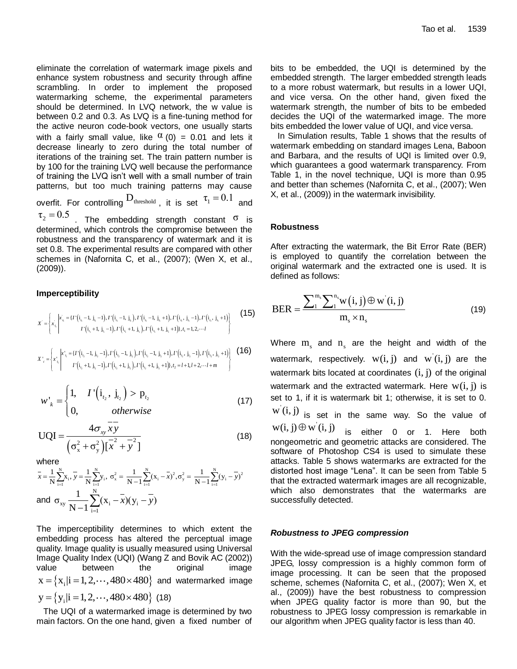eliminate the correlation of watermark image pixels and enhance system robustness and security through affine scrambling. In order to implement the proposed watermarking scheme, the experimental parameters should be determined. In LVQ network, the w value is between 0.2 and 0.3. As LVQ is a fine-tuning method for the active neuron code-book vectors, one usually starts with a fairly small value, like  $\alpha$  (0) = 0.01 and lets it decrease linearly to zero during the total number of iterations of the training set. The train pattern number is by 100 for the training LVQ well because the performance of training the LVQ isn't well with a small number of train patterns, but too much training patterns may cause overfit. For controlling  $D_{\text{threshold}}$  , it is set  $\tau_1 = 0.1$  and  $\tau_2 = 0.5$  The embedding strength constant <sup>σ</sup> is determined, which controls the compromise between the robustness and the transparency of watermark and it is set 0.8. The experimental results are compared with other schemes in (Nafornita C, et al., (2007); (Wen X, et al., (2009)).

## **Imperceptibility**

**imperceptibility**  
\n
$$
X' = \left\{ x_{i_1} \middle| \begin{matrix} x_{i_1} = \{I' \left(i_{i_1} - 1, j_{i_1} - 1\right), I' \left(i_{i_1} - 1, j_{i_1}\right), I' \left(i_{i_1} - 1, j_{i_1} + 1\right), I' \left(i_{i_1}, j_{i_1} - 1\right), I' \left(i_{i_1}, j_{i_1} + 1\right) \\ I' \left(i_{i_1} + 1, j_{i_1} - 1\right), I' \left(i_{i_1} + 1, j_{i_1}\right), I' \left(i_{i_1} + 1, j_{i_1} + 1\right), I_1 = 1, 2, \cdots I \end{matrix} \right\}
$$
\n(15)

$$
X'_{c} = \begin{cases} x'_{i_{1}} \left[ x'_{i_{1}} + 1, \ j_{i_{1}} - 1 \right], I' \left( i_{i_{1}} + 1, \ j_{i_{1}} \right), I' \left( i_{i_{1}} + 1, \ j_{i_{1}} + 1 \right), t_{1} = 1, 2, \cdots I \end{cases}
$$
\n
$$
X'_{c} = \begin{cases} x'_{i_{1}} \left[ x'_{i_{1}} = \left\{ I' \left( i_{i_{2}} - 1, \ j_{i_{2}} - 1 \right), I' \left( i_{i_{2}} - 1, \ j_{i_{2}} \right), I' \left( i_{i_{2}} - 1, \ j_{i_{2}} + 1 \right), I' \left( i_{i_{2}}, \ j_{i_{2}} - 1 \right), I' \left( i_{i_{2}}, \ j_{i_{2}} + 1 \right) \right] \end{cases}
$$
\n
$$
(16)
$$

$$
w'_{k} = \begin{cases} 1, & I'\left(i_{t_{2}}, j_{t_{2}}\right) > p_{t_{2}} \\ 0, & otherwise \end{cases}
$$
 (17)

$$
UQI = \frac{4\sigma_{xy}\overline{xy}}{\left(\sigma_x^2 + \sigma_y^2\right)\left[\overline{x}^2 + \overline{y}^2\right]}
$$
(18)

where

$$
\begin{array}{ll}\n\text{where} & \text{if } \cos \theta & \text{if } \cos \theta & \text{if } \sin \theta \\
\text{where} & \sin \theta & \text{if } \sin \theta \\
\bar{x} = \frac{1}{N} \sum_{i=1}^{N} x_i, \ \bar{y} = \frac{1}{N} \sum_{i=1}^{N} y_i, \ \sigma_x^2 = \frac{1}{N-1} \sum_{i=1}^{N} (x_i - \bar{x})^2, \sigma_y^2 = \frac{1}{N-1} \sum_{i=1}^{N} (y_i - \bar{y})^2 & \text{if } \sin \theta \\
\text{and} & \sigma_{xy} \frac{1}{N-1} \sum_{i=1}^{N} (x_i - \bar{x})(y_i - \bar{y}) & \text{if } \sin \theta & \text{if } \sin \theta\n\end{array}
$$

The imperceptibility determines to which extent the embedding process has altered the perceptual image quality. Image quality is usually measured using Universal Image Quality Index (UQI) (Wang Z and Bovik AC (2002)) value between the original image value between the original image<br> $x = \{x_i | i = 1, 2, \cdots, 480 \times 480\}$  and watermarked image  $y = \{y_i | i = 1, 2, \dots, 480 \times 480\}$  (18)

 The UQI of a watermarked image is determined by two main factors. On the one hand, given a fixed number of bits to be embedded, the UQI is determined by the embedded strength. The larger embedded strength leads to a more robust watermark, but results in a lower UQI, and vice versa. On the other hand, given fixed the watermark strength, the number of bits to be embeded decides the UQI of the watermarked image. The more bits embedded the lower value of UQI, and vice versa.

 In Simulation results, Table 1 shows that the results of watermark embedding on standard images Lena, Baboon and Barbara, and the results of UQI is limited over 0.9, which guarantees a good watermark transparency. From Table 1, in the novel technique, UQI is more than 0.95 and better than schemes (Nafornita C, et al., (2007); Wen X, et al., (2009)) in the watermark invisibility.

#### **Robustness**

After extracting the watermark, the Bit Error Rate (BER) is employed to quantify the correlation between the original watermark and the extracted one is used. It is defined as follows:

BER = 
$$
\frac{\sum_{1}^{m_s} \sum_{i}^{n_s} w(i, j) \oplus w'(i, j)}{m_s \times n_s}
$$
 (19)

Where  $m_s$  and  $n_s$  are the height and width of the watermark, respectively.  $w(i, j)$  and  $w'(i, j)$  are the watermark bits located at coordinates  $(i, j)$  of the original watermark and the extracted watermark. Here  $w(i, j)$  is set to 1, if it is watermark bit 1; otherwise, it is set to 0.  $\mathrm{w}^{\cdot}(\mathrm{i},\mathrm{j})$  is set in the same way. So the value of

 $w(i, j) \oplus w(i, j)$ is either 0 or 1. Here both nongeometric and geometric attacks are considered. The software of Photoshop CS4 is used to simulate these attacks. Table 5 shows watermarks are extracted for the distorted host image "Lena". It can be seen from Table 5 that the extracted watermark images are all recognizable, which also demonstrates that the watermarks are successfully detected.

#### *Robustness to JPEG compression*

With the wide-spread use of image compression standard JPEG, lossy compression is a highly common form of image processing. It can be seen that the proposed scheme, schemes (Nafornita C, et al., (2007); Wen X, et al., (2009)) have the best robustness to compression when JPEG quality factor is more than 90, but the robustness to JPEG lossy compression is remarkable in our algorithm when JPEG quality factor is less than 40.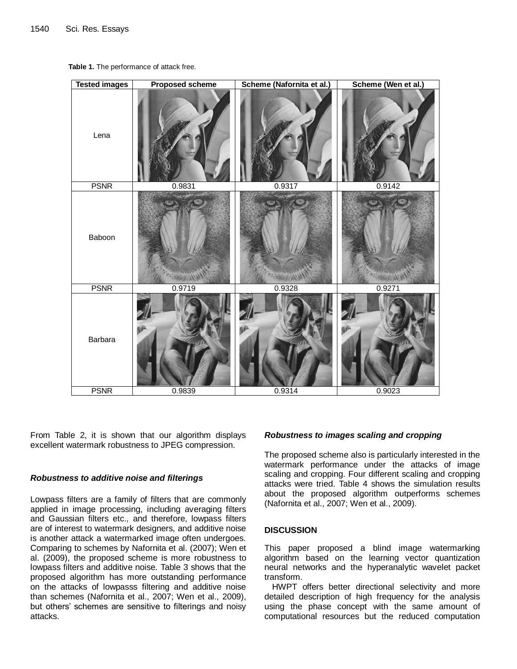

**Table 1.** The performance of attack free.

From Table 2, it is shown that our algorithm displays excellent watermark robustness to JPEG compression.

### *Robustness to additive noise and filterings*

Lowpass filters are a family of filters that are commonly applied in image processing, including averaging filters and Gaussian filters etc., and therefore, lowpass filters are of interest to watermark designers, and additive noise is another attack a watermarked image often undergoes. Comparing to schemes by Nafornita et al. (2007); Wen et al. (2009), the proposed scheme is more robustness to lowpass filters and additive noise. Table 3 shows that the proposed algorithm has more outstanding performance on the attacks of lowpasss filtering and additive noise than schemes (Nafornita et al., 2007; Wen et al., 2009), but others' schemes are sensitive to filterings and noisy attacks.

#### *Robustness to images scaling and cropping*

The proposed scheme also is particularly interested in the watermark performance under the attacks of image scaling and cropping. Four different scaling and cropping attacks were tried. Table 4 shows the simulation results about the proposed algorithm outperforms schemes (Nafornita et al., 2007; Wen et al., 2009).

## **DISCUSSION**

This paper proposed a blind image watermarking algorithm based on the learning vector quantization neural networks and the hyperanalytic wavelet packet transform.

HWPT offers better directional selectivity and more detailed description of high frequency for the analysis using the phase concept with the same amount of computational resources but the reduced computation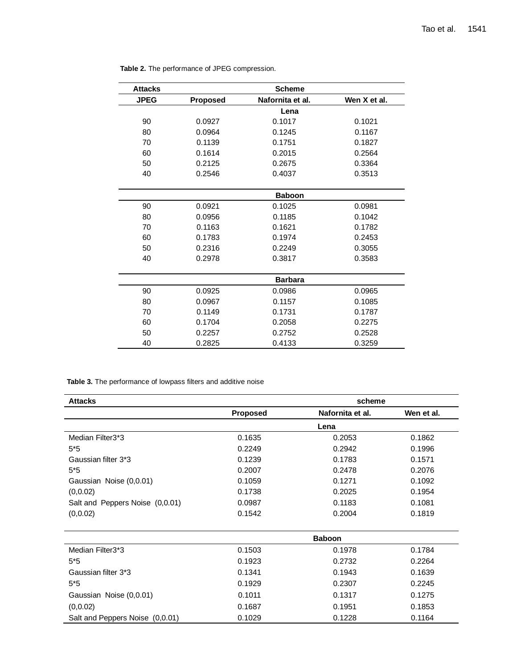| <b>Attacks</b> |                 | <b>Scheme</b>    |              |
|----------------|-----------------|------------------|--------------|
| <b>JPEG</b>    | <b>Proposed</b> | Nafornita et al. | Wen X et al. |
|                |                 | Lena             |              |
| 90             | 0.0927          | 0.1017           | 0.1021       |
| 80             | 0.0964          | 0.1245           | 0.1167       |
| 70             | 0.1139          | 0.1751           | 0.1827       |
| 60             | 0.1614          | 0.2015           | 0.2564       |
| 50             | 0.2125          | 0.2675           | 0.3364       |
| 40             | 0.2546          | 0.4037           | 0.3513       |
|                |                 | <b>Baboon</b>    |              |
| 90             | 0.0921          | 0.1025           | 0.0981       |
| 80             | 0.0956          | 0.1185           | 0.1042       |
| 70             | 0.1163          | 0.1621           | 0.1782       |
| 60             | 0.1783          | 0.1974           | 0.2453       |
| 50             | 0.2316          | 0.2249           | 0.3055       |
| 40             | 0.2978          | 0.3817           | 0.3583       |
|                |                 | <b>Barbara</b>   |              |
| 90             | 0.0925          | 0.0986           | 0.0965       |
| 80             | 0.0967          | 0.1157           | 0.1085       |
| 70             | 0.1149          | 0.1731           | 0.1787       |
| 60             | 0.1704          | 0.2058           | 0.2275       |
| 50             | 0.2257          | 0.2752           | 0.2528       |
| 40             | 0.2825          | 0.4133           | 0.3259       |

**Table 2.** The performance of JPEG compression.

**Table 3.** The performance of lowpass filters and additive noise

| <b>Attacks</b>                  | scheme          |                  |            |  |  |  |
|---------------------------------|-----------------|------------------|------------|--|--|--|
|                                 | <b>Proposed</b> | Nafornita et al. | Wen et al. |  |  |  |
|                                 |                 | Lena             |            |  |  |  |
| Median Filter3*3                | 0.1635          | 0.2053           | 0.1862     |  |  |  |
| $5*5$                           | 0.2249          | 0.2942           | 0.1996     |  |  |  |
| Gaussian filter 3*3             | 0.1239          | 0.1783           | 0.1571     |  |  |  |
| $5*5$                           | 0.2007          | 0.2478           | 0.2076     |  |  |  |
| Gaussian Noise (0,0.01)         | 0.1059          | 0.1271           | 0.1092     |  |  |  |
| (0, 0.02)                       | 0.1738          | 0.2025           | 0.1954     |  |  |  |
| Salt and Peppers Noise (0,0.01) | 0.0987          | 0.1183           | 0.1081     |  |  |  |
| (0, 0.02)                       | 0.1542          | 0.2004           | 0.1819     |  |  |  |
|                                 |                 |                  |            |  |  |  |
|                                 | <b>Baboon</b>   |                  |            |  |  |  |
| Median Filter3*3                | 0.1503          | 0.1978           | 0.1784     |  |  |  |
| $5*5$                           | 0.1923          | 0.2732           | 0.2264     |  |  |  |
| Gaussian filter 3*3             | 0.1341          | 0.1943           | 0.1639     |  |  |  |
| $5*5$                           | 0.1929          | 0.2307           | 0.2245     |  |  |  |
| Gaussian Noise (0,0.01)         | 0.1011          | 0.1317           | 0.1275     |  |  |  |
| (0, 0.02)                       | 0.1687          | 0.1951           | 0.1853     |  |  |  |
| Salt and Peppers Noise (0,0.01) | 0.1029          | 0.1228           | 0.1164     |  |  |  |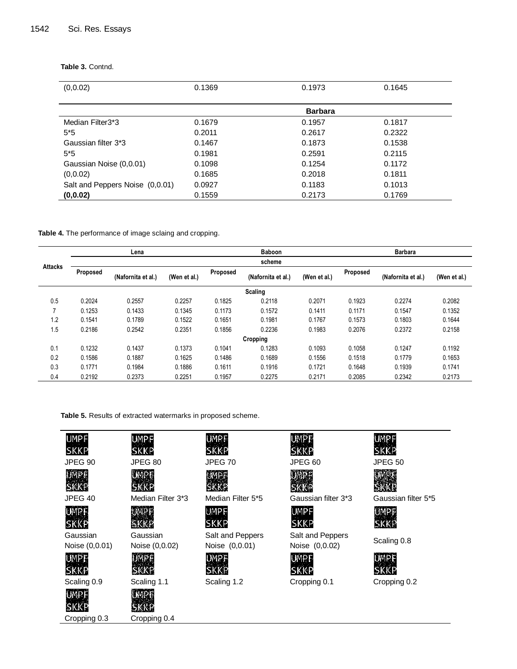| (0, 0.02)                       | 0.1369 | 0.1973         | 0.1645 |
|---------------------------------|--------|----------------|--------|
|                                 |        |                |        |
|                                 |        | <b>Barbara</b> |        |
| Median Filter3*3                | 0.1679 | 0.1957         | 0.1817 |
| $5*5$                           | 0.2011 | 0.2617         | 0.2322 |
| Gaussian filter 3*3             | 0.1467 | 0.1873         | 0.1538 |
| $5*5$                           | 0.1981 | 0.2591         | 0.2115 |
| Gaussian Noise (0,0.01)         | 0.1098 | 0.1254         | 0.1172 |
| (0, 0.02)                       | 0.1685 | 0.2018         | 0.1811 |
| Salt and Peppers Noise (0,0.01) | 0.0927 | 0.1183         | 0.1013 |
| (0, 0.02)                       | 0.1559 | 0.2173         | 0.1769 |

**Table 3.** Contnd.

**Table 4.** The performance of image sclaing and cropping.

|                | Lena     |                    |              | <b>Baboon</b> |                    |              | <b>Barbara</b> |                    |              |  |  |
|----------------|----------|--------------------|--------------|---------------|--------------------|--------------|----------------|--------------------|--------------|--|--|
|                | scheme   |                    |              |               |                    |              |                |                    |              |  |  |
| <b>Attacks</b> | Proposed | (Nafornita et al.) | (Wen et al.) | Proposed      | (Nafornita et al.) | (Wen et al.) | Proposed       | (Nafornita et al.) | (Wen et al.) |  |  |
|                |          |                    |              |               | Scaling            |              |                |                    |              |  |  |
| 0.5            | 0.2024   | 0.2557             | 0.2257       | 0.1825        | 0.2118             | 0.2071       | 0.1923         | 0.2274             | 0.2082       |  |  |
|                | 0.1253   | 0.1433             | 0.1345       | 0.1173        | 0.1572             | 0.1411       | 0.1171         | 0.1547             | 0.1352       |  |  |
| 1.2            | 0.1541   | 0.1789             | 0.1522       | 0.1651        | 0.1981             | 0.1767       | 0.1573         | 0.1803             | 0.1644       |  |  |
| 1.5            | 0.2186   | 0.2542             | 0.2351       | 0.1856        | 0.2236             | 0.1983       | 0.2076         | 0.2372             | 0.2158       |  |  |
|                |          |                    |              |               | Cropping           |              |                |                    |              |  |  |
| 0.1            | 0.1232   | 0.1437             | 0.1373       | 0.1041        | 0.1283             | 0.1093       | 0.1058         | 0.1247             | 0.1192       |  |  |
| 0.2            | 0.1586   | 0.1887             | 0.1625       | 0.1486        | 0.1689             | 0.1556       | 0.1518         | 0.1779             | 0.1653       |  |  |
| 0.3            | 0.1771   | 0.1984             | 0.1886       | 0.1611        | 0.1916             | 0.1721       | 0.1648         | 0.1939             | 0.1741       |  |  |
| 0.4            | 0.2192   | 0.2373             | 0.2251       | 0.1957        | 0.2275             | 0.2171       | 0.2085         | 0.2342             | 0.2173       |  |  |

**Table 5.** Results of extracted watermarks in proposed scheme.

**UMPF SKKP** 

**UMPF** 

**SKKP** 

UMPF

SKKP

UMPE

| <b>JMPF</b> |
|-------------|
| SKKP        |
| IPEG 90     |







Gaussian Noise (0,0.01)









**Gaussian** Noise (0,0.02) **UMPF SKKP** 



JPEG 40 Median Filter 3\*3 Median Filter 5\*5 Gaussian filter 3\*3 Gaussian filter 5\*5



Salt and Peppers Noise (0,0.01)



UMPF **SKKP** 





Salt and Peppers Scaling 0.8<br>Noise (0,0.02) Scaling 0.8



**UMPF SKKP** 

JPEG 90 JPEG 80 JPEG 70 JPEG 60 JPEG 50







Cropping 0.3 Cropping 0.4

| .<br><br>. .<br>., |  |
|--------------------|--|